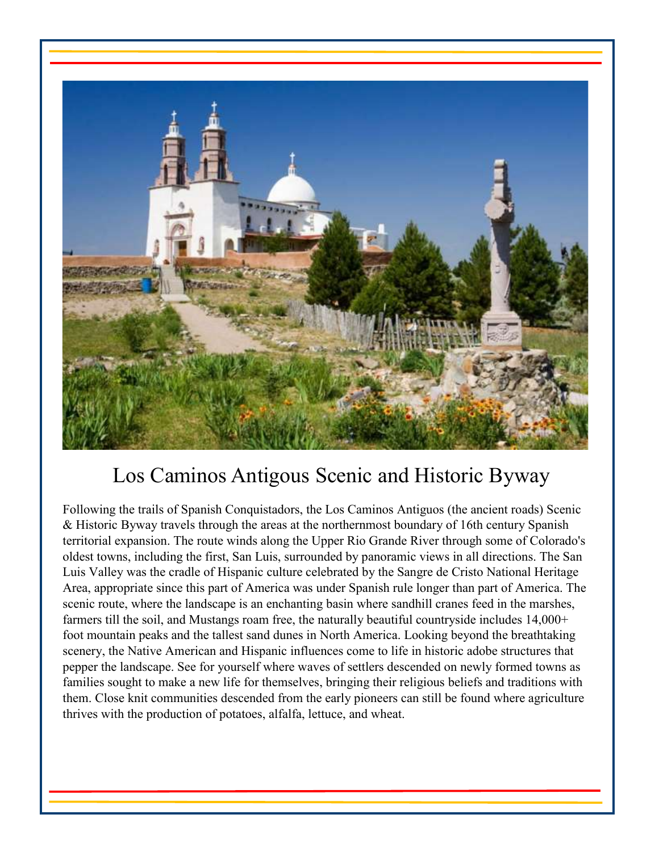

# Los Caminos Antigous Scenic and Historic Byway

Following the trails of Spanish Conquistadors, the Los Caminos Antiguos (the ancient roads) Scenic & Historic Byway travels through the areas at the northernmost boundary of 16th century Spanish territorial expansion. The route winds along the Upper Rio Grande River through some of Colorado's oldest towns, including the first, San Luis, surrounded by panoramic views in all directions. The San Luis Valley was the cradle of Hispanic culture celebrated by the Sangre de Cristo National Heritage Area, appropriate since this part of America was under Spanish rule longer than part of America. The scenic route, where the landscape is an enchanting basin where sandhill cranes feed in the marshes, farmers till the soil, and Mustangs roam free, the naturally beautiful countryside includes 14,000+ foot mountain peaks and the tallest sand dunes in North America. Looking beyond the breathtaking scenery, the Native American and Hispanic influences come to life in historic adobe structures that pepper the landscape. See for yourself where waves of settlers descended on newly formed towns as families sought to make a new life for themselves, bringing their religious beliefs and traditions with them. Close knit communities descended from the early pioneers can still be found where agriculture thrives with the production of potatoes, alfalfa, lettuce, and wheat.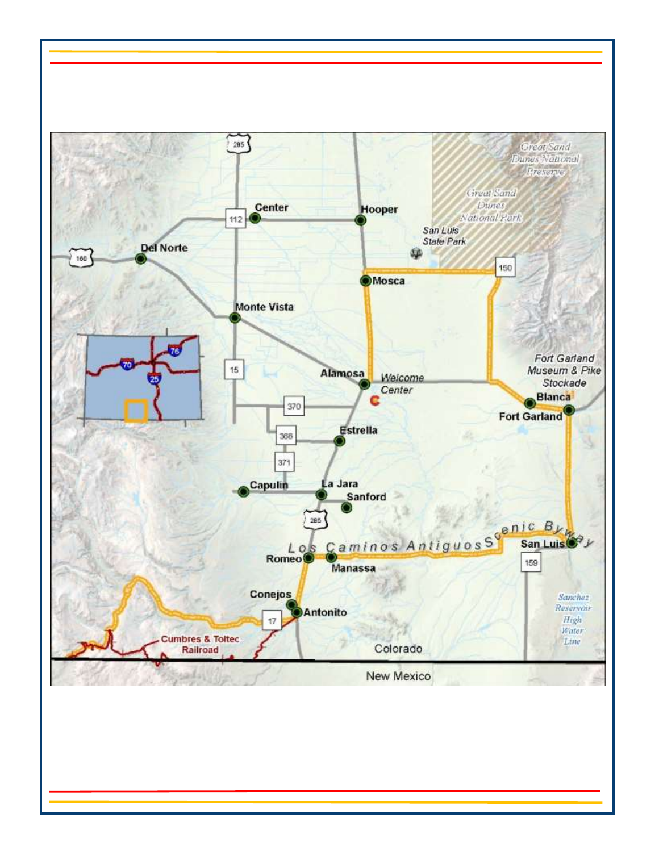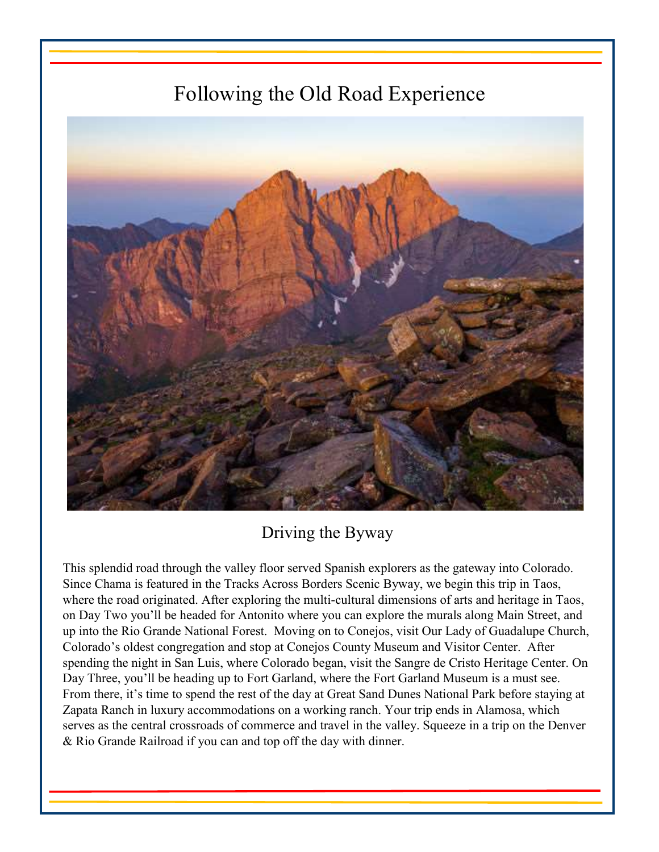# Following the Old Road Experience



Driving the Byway

This splendid road through the valley floor served Spanish explorers as the gateway into Colorado. Since Chama is featured in the Tracks Across Borders Scenic Byway, we begin this trip in Taos, where the road originated. After exploring the multi-cultural dimensions of arts and heritage in Taos, on Day Two you'll be headed for Antonito where you can explore the murals along Main Street, and up into the Rio Grande National Forest. Moving on to Conejos, visit Our Lady of Guadalupe Church, Colorado's oldest congregation and stop at Conejos County Museum and Visitor Center. After spending the night in San Luis, where Colorado began, visit the Sangre de Cristo Heritage Center. On Day Three, you'll be heading up to Fort Garland, where the Fort Garland Museum is a must see. From there, it's time to spend the rest of the day at Great Sand Dunes National Park before staying at Zapata Ranch in luxury accommodations on a working ranch. Your trip ends in Alamosa, which serves as the central crossroads of commerce and travel in the valley. Squeeze in a trip on the Denver & Rio Grande Railroad if you can and top off the day with dinner.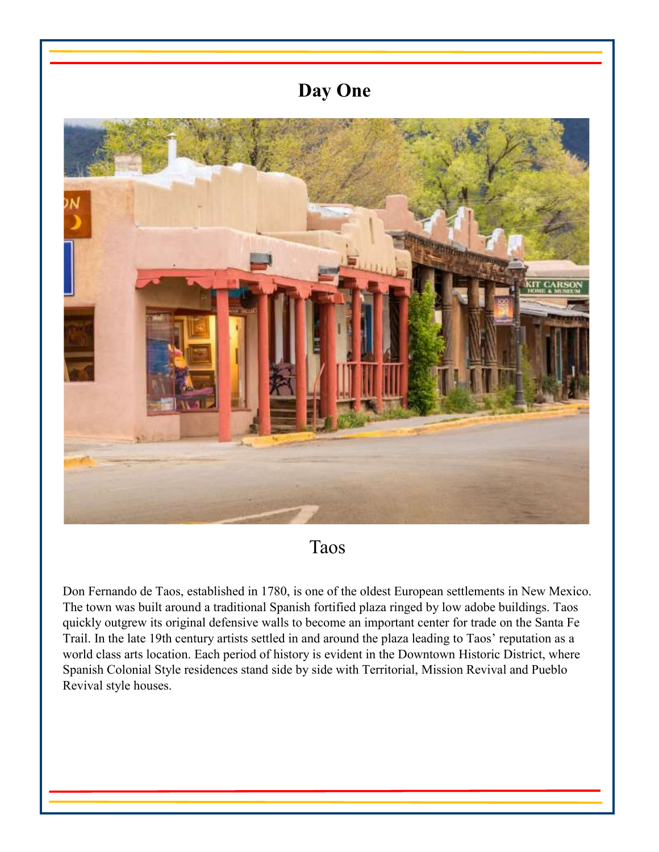

Taos

Don Fernando de Taos, established in 1780, is one of the oldest European settlements in New Mexico. The town was built around a traditional Spanish fortified plaza ringed by low adobe buildings. Taos quickly outgrew its original defensive walls to become an important center for trade on the Santa Fe Trail. In the late 19th century artists settled in and around the plaza leading to Taos' reputation as a world class arts location. Each period of history is evident in the Downtown Historic District, where Spanish Colonial Style residences stand side by side with Territorial, Mission Revival and Pueblo Revival style houses.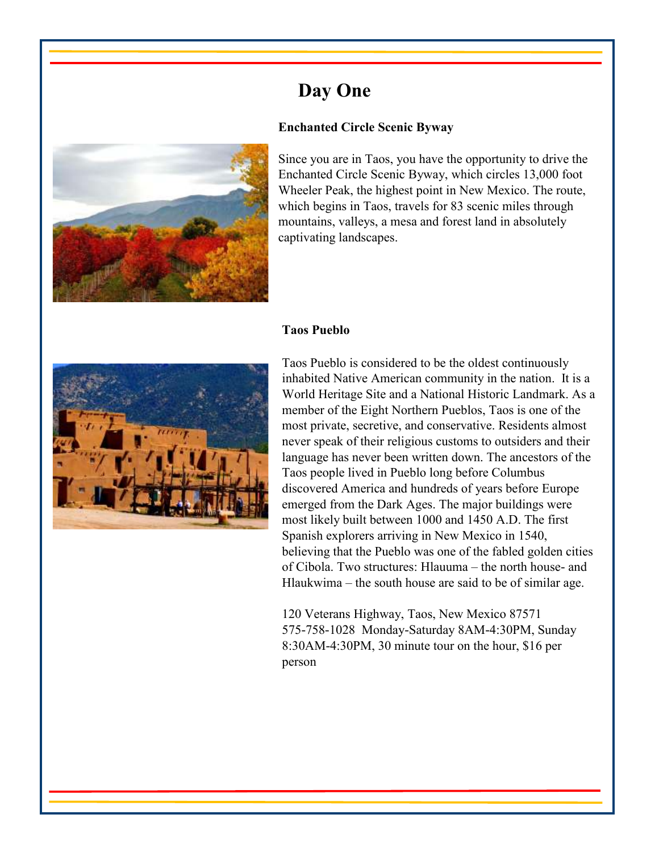### **Enchanted Circle Scenic Byway**



Since you are in Taos, you have the opportunity to drive the Enchanted Circle Scenic Byway, which circles 13,000 foot Wheeler Peak, the highest point in New Mexico. The route, which begins in Taos, travels for 83 scenic miles through mountains, valleys, a mesa and forest land in absolutely captivating landscapes.

#### **Taos Pueblo**



Taos Pueblo is considered to be the oldest continuously inhabited Native American community in the nation. It is a World Heritage Site and a National Historic Landmark. As a member of the Eight Northern Pueblos, Taos is one of the most private, secretive, and conservative. Residents almost never speak of their religious customs to outsiders and their language has never been written down. The ancestors of the Taos people lived in Pueblo long before Columbus discovered America and hundreds of years before Europe emerged from the Dark Ages. The major buildings were most likely built between 1000 and 1450 A.D. The first Spanish explorers arriving in New Mexico in 1540, believing that the Pueblo was one of the fabled golden cities of Cibola. Two structures: Hlauuma – the north house- and Hlaukwima – the south house are said to be of similar age.

120 Veterans Highway, Taos, New Mexico 87571 575-758-1028 Monday-Saturday 8AM-4:30PM, Sunday 8:30AM-4:30PM, 30 minute tour on the hour, \$16 per person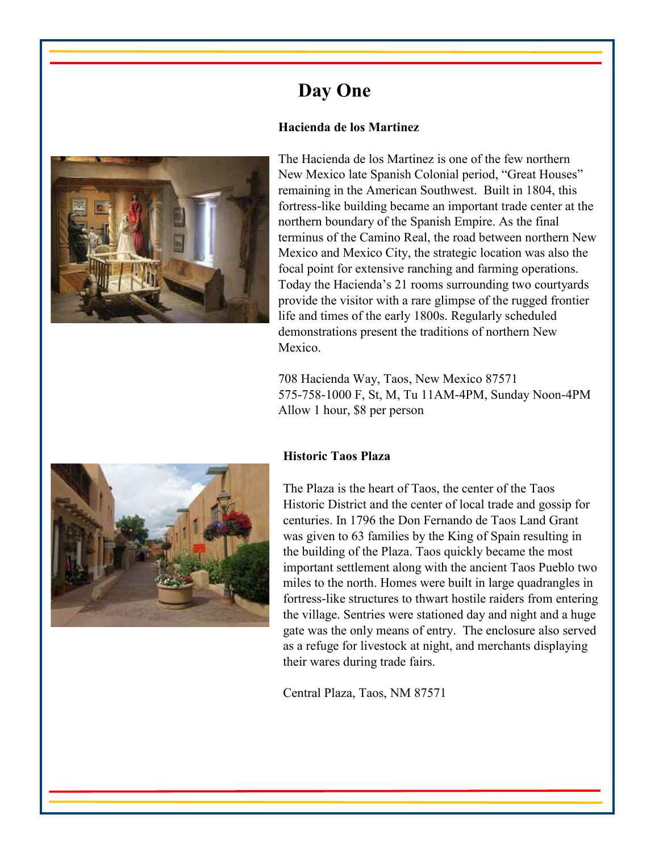### **Hacienda de los Martinez**



The Hacienda de los Martinez is one of the few northern New Mexico late Spanish Colonial period, "Great Houses" remaining in the American Southwest. Built in 1804, this fortress-like building became an important trade center at the northern boundary of the Spanish Empire. As the final terminus of the Camino Real, the road between northern New Mexico and Mexico City, the strategic location was also the focal point for extensive ranching and farming operations. Today the Hacienda's 21 rooms surrounding two courtyards provide the visitor with a rare glimpse of the rugged frontier life and times of the early 1800s. Regularly scheduled demonstrations present the traditions of northern New Mexico.

708 Hacienda Way, Taos, New Mexico 87571 575-758-1000 F, St, M, Tu 11AM-4PM, Sunday Noon-4PM Allow 1 hour, \$8 per person



#### **Historic Taos Plaza**

The Plaza is the heart of Taos, the center of the Taos Historic District and the center of local trade and gossip for centuries. In 1796 the Don Fernando de Taos Land Grant was given to 63 families by the King of Spain resulting in the building of the Plaza. Taos quickly became the most important settlement along with the ancient Taos Pueblo two miles to the north. Homes were built in large quadrangles in fortress-like structures to thwart hostile raiders from entering the village. Sentries were stationed day and night and a huge gate was the only means of entry. The enclosure also served as a refuge for livestock at night, and merchants displaying their wares during trade fairs.

Central Plaza, Taos, NM 87571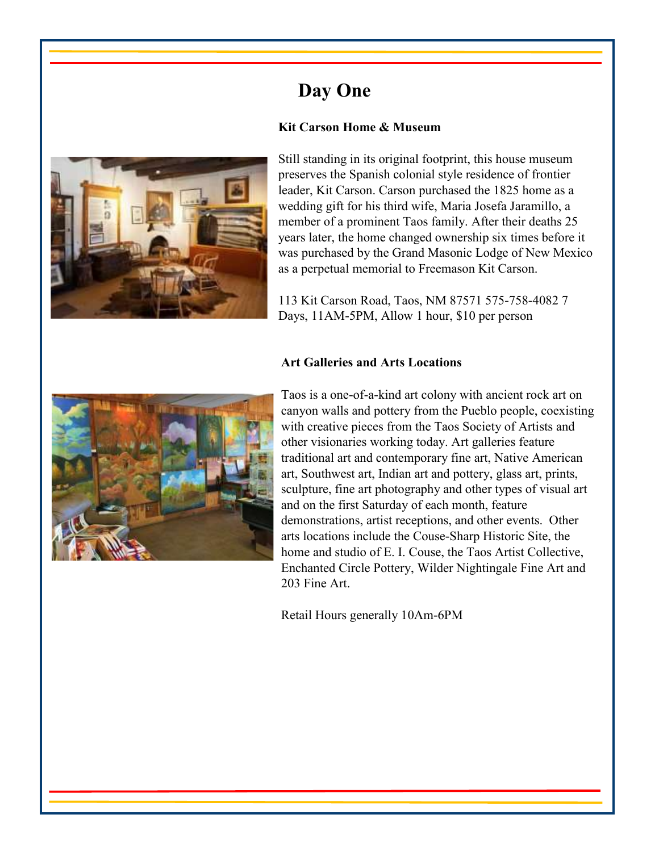## **Kit Carson Home & Museum**



Still standing in its original footprint, this house museum preserves the Spanish colonial style residence of frontier leader, Kit Carson. Carson purchased the 1825 home as a wedding gift for his third wife, Maria Josefa Jaramillo, a member of a prominent Taos family. After their deaths 25 years later, the home changed ownership six times before it was purchased by the Grand Masonic Lodge of New Mexico as a perpetual memorial to Freemason Kit Carson.

113 Kit Carson Road, Taos, NM 87571 575-758-4082 7 Days, 11AM-5PM, Allow 1 hour, \$10 per person

#### **Art Galleries and Arts Locations**



Taos is a one-of-a-kind art colony with ancient rock art on canyon walls and pottery from the Pueblo people, coexisting with creative pieces from the Taos Society of Artists and other visionaries working today. Art galleries feature traditional art and contemporary fine art, Native American art, Southwest art, Indian art and pottery, glass art, prints, sculpture, fine art photography and other types of visual art and on the first Saturday of each month, feature demonstrations, artist receptions, and other events. Other arts locations include the Couse-Sharp Historic Site, the home and studio of E. I. Couse, the Taos Artist Collective, Enchanted Circle Pottery, Wilder Nightingale Fine Art and 203 Fine Art.

Retail Hours generally 10Am-6PM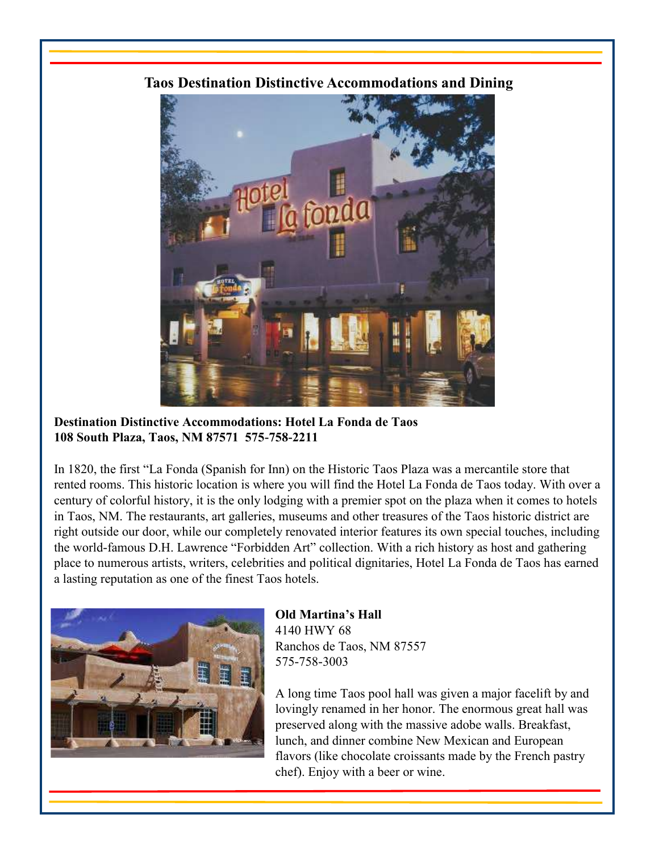## **Taos Destination Distinctive Accommodations and Dining**



**Destination Distinctive Accommodations: Hotel La Fonda de Taos 108 South Plaza, Taos, NM 87571 575-758-2211**

In 1820, the first "La Fonda (Spanish for Inn) on the Historic Taos Plaza was a mercantile store that rented rooms. This historic location is where you will find the Hotel La Fonda de Taos today. With over a century of colorful history, it is the only lodging with a premier spot on the plaza when it comes to hotels in Taos, NM. The restaurants, art galleries, museums and other treasures of the Taos historic district are right outside our door, while our completely renovated interior features its own special touches, including the world-famous D.H. Lawrence "Forbidden Art" collection. With a rich history as host and gathering place to numerous artists, writers, celebrities and political dignitaries, Hotel La Fonda de Taos has earned a lasting reputation as one of the finest Taos hotels.



**Old Martina's Hall** 4140 HWY 68 Ranchos de Taos, NM 87557 575-758-3003

A long time Taos pool hall was given a major facelift by and lovingly renamed in her honor. The enormous great hall was preserved along with the massive adobe walls. Breakfast, lunch, and dinner combine New Mexican and European flavors (like chocolate croissants made by the French pastry chef). Enjoy with a beer or wine.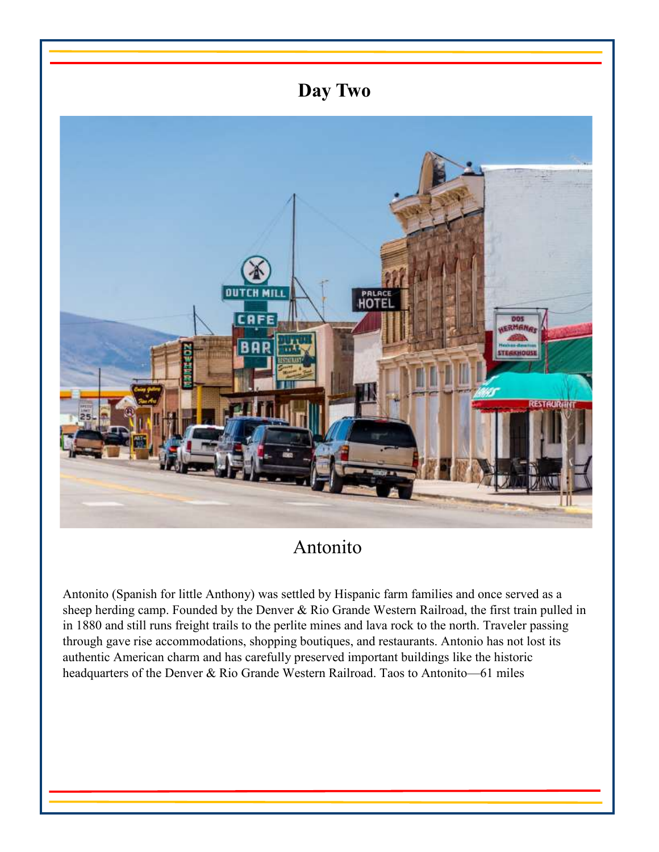

## Antonito

Antonito (Spanish for little Anthony) was settled by Hispanic farm families and once served as a sheep herding camp. Founded by the Denver & Rio Grande Western Railroad, the first train pulled in in 1880 and still runs freight trails to the perlite mines and lava rock to the north. Traveler passing through gave rise accommodations, shopping boutiques, and restaurants. Antonio has not lost its authentic American charm and has carefully preserved important buildings like the historic headquarters of the Denver & Rio Grande Western Railroad. Taos to Antonito—61 miles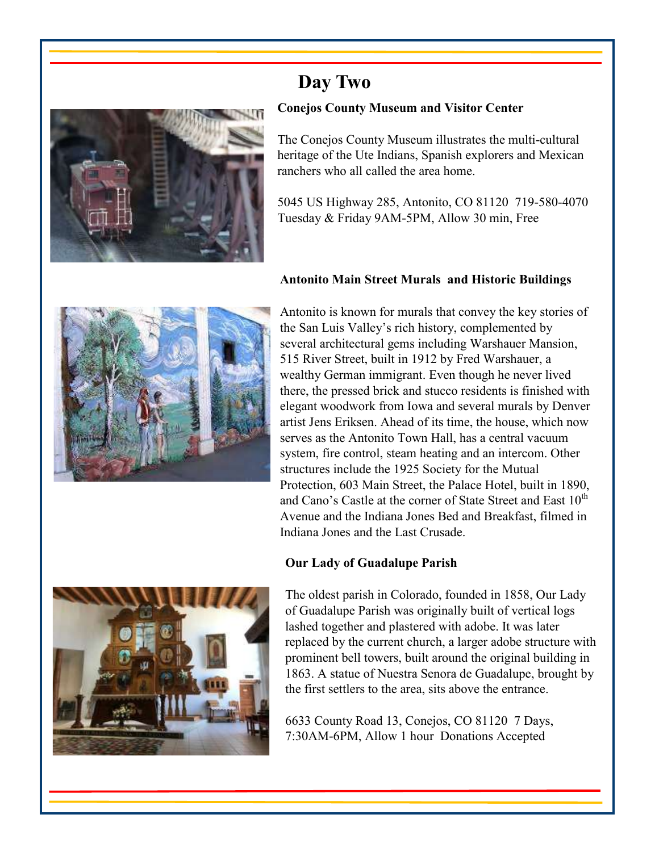

### **Conejos County Museum and Visitor Center**

The Conejos County Museum illustrates the multi-cultural heritage of the Ute Indians, Spanish explorers and Mexican ranchers who all called the area home.

5045 US Highway 285, Antonito, CO 81120 719-580-4070 Tuesday & Friday 9AM-5PM, Allow 30 min, Free

## **Antonito Main Street Murals and Historic Buildings**



Antonito is known for murals that convey the key stories of the San Luis Valley's rich history, complemented by several architectural gems including Warshauer Mansion, 515 River Street, built in 1912 by Fred Warshauer, a wealthy German immigrant. Even though he never lived there, the pressed brick and stucco residents is finished with elegant woodwork from Iowa and several murals by Denver artist Jens Eriksen. Ahead of its time, the house, which now serves as the Antonito Town Hall, has a central vacuum system, fire control, steam heating and an intercom. Other structures include the 1925 Society for the Mutual Protection, 603 Main Street, the Palace Hotel, built in 1890, and Cano's Castle at the corner of State Street and East 10<sup>th</sup> Avenue and the Indiana Jones Bed and Breakfast, filmed in Indiana Jones and the Last Crusade.

## **Our Lady of Guadalupe Parish**



The oldest parish in Colorado, founded in 1858, Our Lady of Guadalupe Parish was originally built of vertical logs lashed together and plastered with adobe. It was later replaced by the current church, a larger adobe structure with prominent bell towers, built around the original building in 1863. A statue of Nuestra Senora de Guadalupe, brought by the first settlers to the area, sits above the entrance.

6633 County Road 13, Conejos, CO 81120 7 Days, 7:30AM-6PM, Allow 1 hour Donations Accepted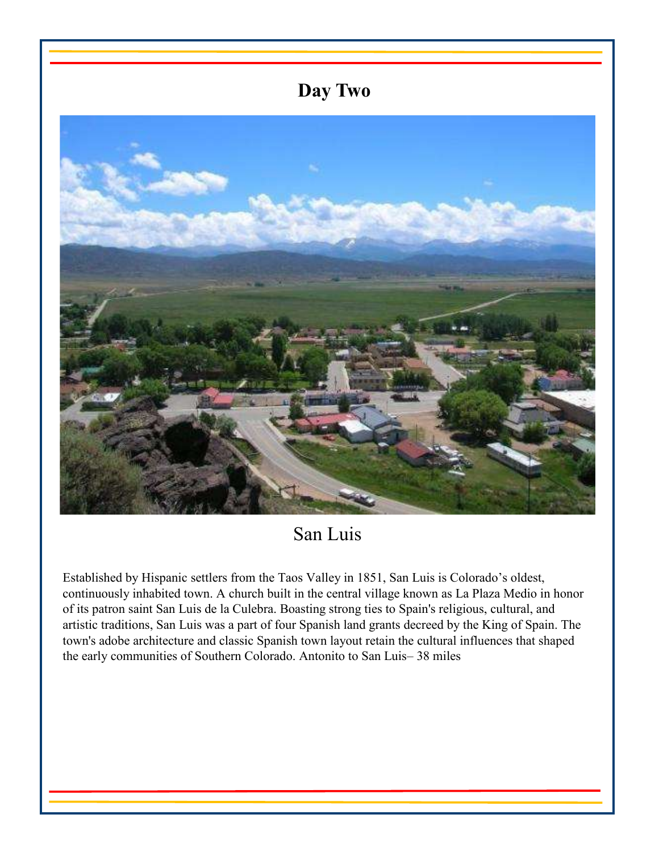

San Luis

Established by Hispanic settlers from the Taos Valley in 1851, San Luis is Colorado's oldest, continuously inhabited town. A church built in the central village known as La Plaza Medio in honor of its patron saint San Luis de la Culebra. Boasting strong ties to Spain's religious, cultural, and artistic traditions, San Luis was a part of four Spanish land grants decreed by the King of Spain. The town's adobe architecture and classic Spanish town layout retain the cultural influences that shaped the early communities of Southern Colorado. Antonito to San Luis– 38 miles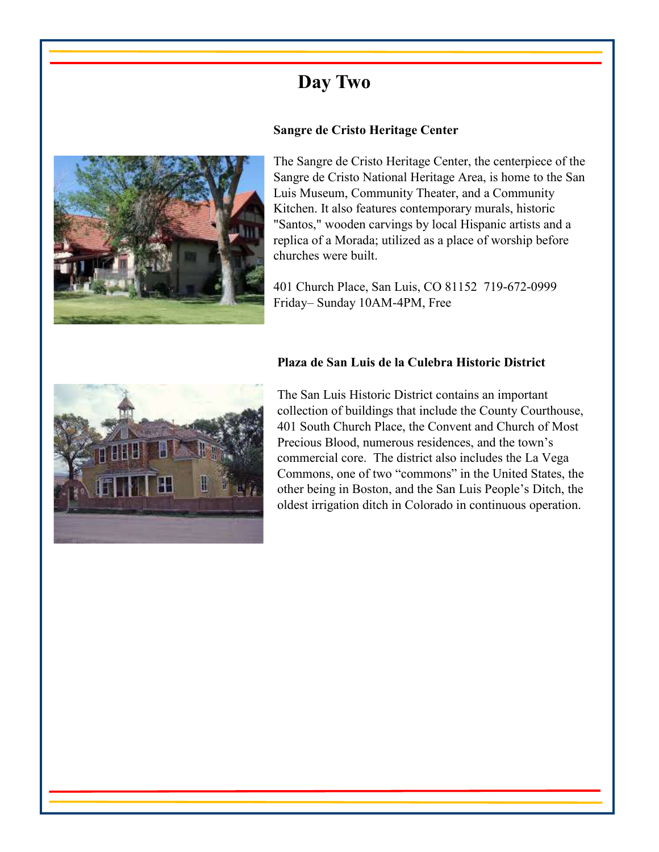



The Sangre de Cristo Heritage Center, the centerpiece of the Sangre de Cristo National Heritage Area, is home to the San Luis Museum, Community Theater, and a Community Kitchen. It also features contemporary murals, historic "Santos," wooden carvings by local Hispanic artists and a replica of a Morada; utilized as a place of worship before churches were built.

401 Church Place, San Luis, CO 81152 719-672-0999 Friday– Sunday 10AM-4PM, Free

### **Plaza de San Luis de la Culebra Historic District**



The San Luis Historic District contains an important collection of buildings that include the County Courthouse, 401 South Church Place, the Convent and Church of Most Precious Blood, numerous residences, and the town's commercial core. The district also includes the La Vega Commons, one of two "commons" in the United States, the other being in Boston, and the San Luis People's Ditch, the oldest irrigation ditch in Colorado in continuous operation.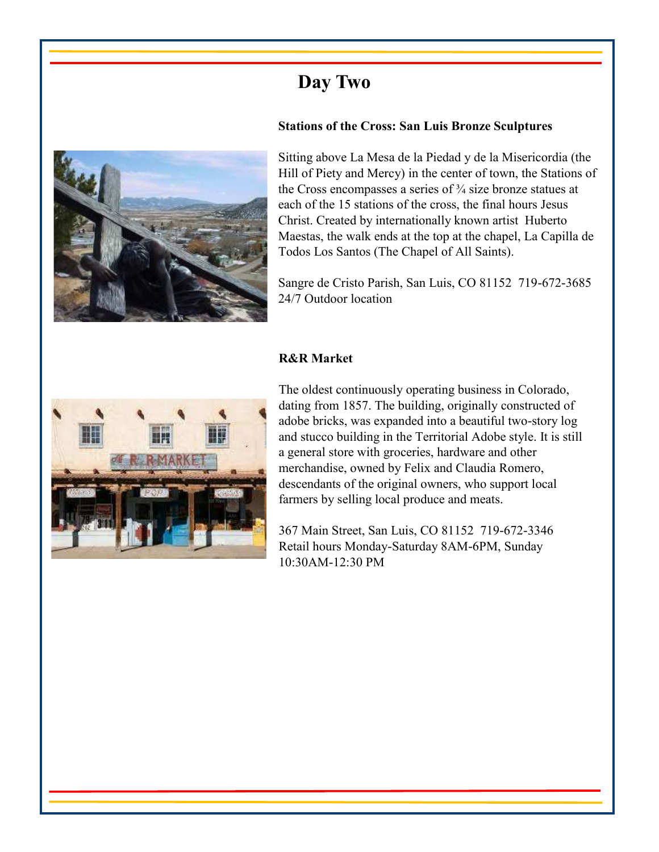



Sitting above La Mesa de la Piedad y de la Misericordia (the Hill of Piety and Mercy) in the center of town, the Stations of the Cross encompasses a series of  $\frac{3}{4}$  size bronze statues at each of the 15 stations of the cross, the final hours Jesus Christ. Created by internationally known artist Huberto Maestas, the walk ends at the top at the chapel, La Capilla de Todos Los Santos (The Chapel of All Saints).

Sangre de Cristo Parish, San Luis, CO 81152 719-672-3685 24/7 Outdoor location

### **R&R Market**



The oldest continuously operating business in Colorado, dating from 1857. The building, originally constructed of adobe bricks, was expanded into a beautiful two-story log and stucco building in the Territorial Adobe style. It is still a general store with groceries, hardware and other merchandise, owned by Felix and Claudia Romero, descendants of the original owners, who support local farmers by selling local produce and meats.

367 Main Street, San Luis, CO 81152 719-672-3346 Retail hours Monday-Saturday 8AM-6PM, Sunday 10:30AM-12:30 PM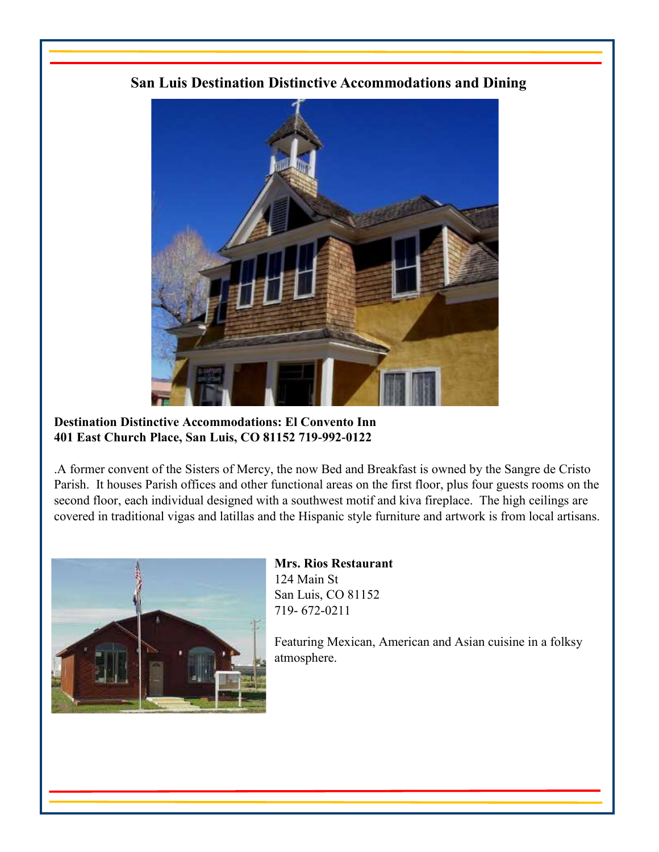## **San Luis Destination Distinctive Accommodations and Dining**



### **Destination Distinctive Accommodations: El Convento Inn 401 East Church Place, San Luis, CO 81152 719-992-0122**

.A former convent of the Sisters of Mercy, the now Bed and Breakfast is owned by the Sangre de Cristo Parish. It houses Parish offices and other functional areas on the first floor, plus four guests rooms on the second floor, each individual designed with a southwest motif and kiva fireplace. The high ceilings are covered in traditional vigas and latillas and the Hispanic style furniture and artwork is from local artisans.



### **Mrs. Rios Restaurant**  124 Main St San Luis, CO 81152 719- 672-0211

Featuring Mexican, American and Asian cuisine in a folksy atmosphere.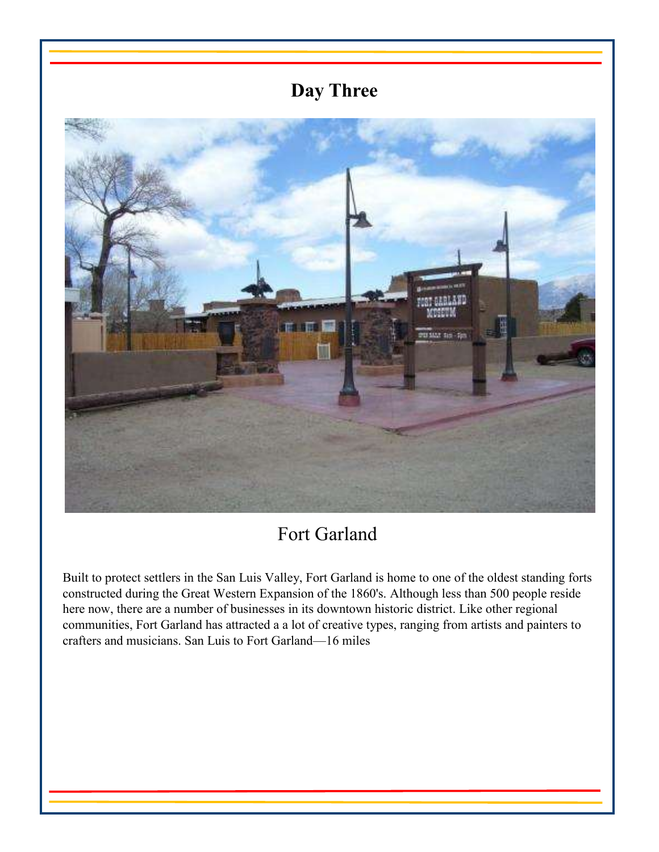## **Day Three**



## Fort Garland

Built to protect settlers in the San Luis Valley, Fort Garland is home to one of the oldest standing forts constructed during the Great Western Expansion of the 1860's. Although less than 500 people reside here now, there are a number of businesses in its downtown historic district. Like other regional communities, Fort Garland has attracted a a lot of creative types, ranging from artists and painters to crafters and musicians. San Luis to Fort Garland—16 miles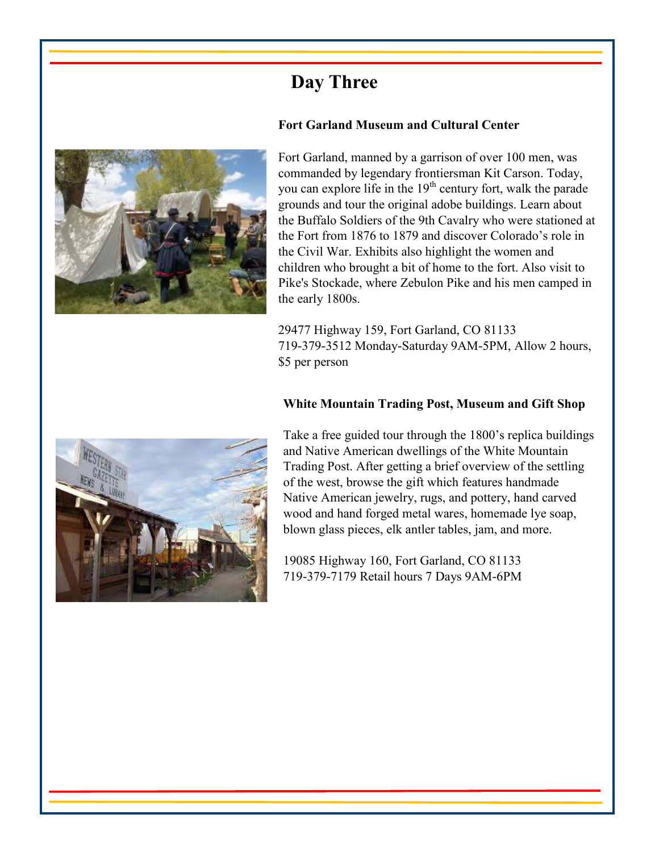## **Day Three**





Fort Garland, manned by a garrison of over 100 men, was commanded by legendary frontiersman Kit Carson. Today, you can explore life in the  $19<sup>th</sup>$  century fort, walk the parade grounds and tour the original adobe buildings. Learn about the Buffalo Soldiers of the 9th Cavalry who were stationed at the Fort from 1876 to 1879 and discover Colorado's role in the Civil War. Exhibits also highlight the women and children who brought a bit of home to the fort. Also visit to Pike's Stockade, where Zebulon Pike and his men camped in the early 1800s.

29477 Highway 159, Fort Garland, CO 81133 719-379-3512 Monday-Saturday 9AM-5PM, Allow 2 hours, \$5 per person

## **White Mountain Trading Post, Museum and Gift Shop**



Take a free guided tour through the 1800's replica buildings and Native American dwellings of the White Mountain Trading Post. After getting a brief overview of the settling of the west, browse the gift which features handmade Native American jewelry, rugs, and pottery, hand carved wood and hand forged metal wares, homemade lye soap, blown glass pieces, elk antler tables, jam, and more.

19085 Highway 160, Fort Garland, CO 81133 719-379-7179 Retail hours 7 Days 9AM-6PM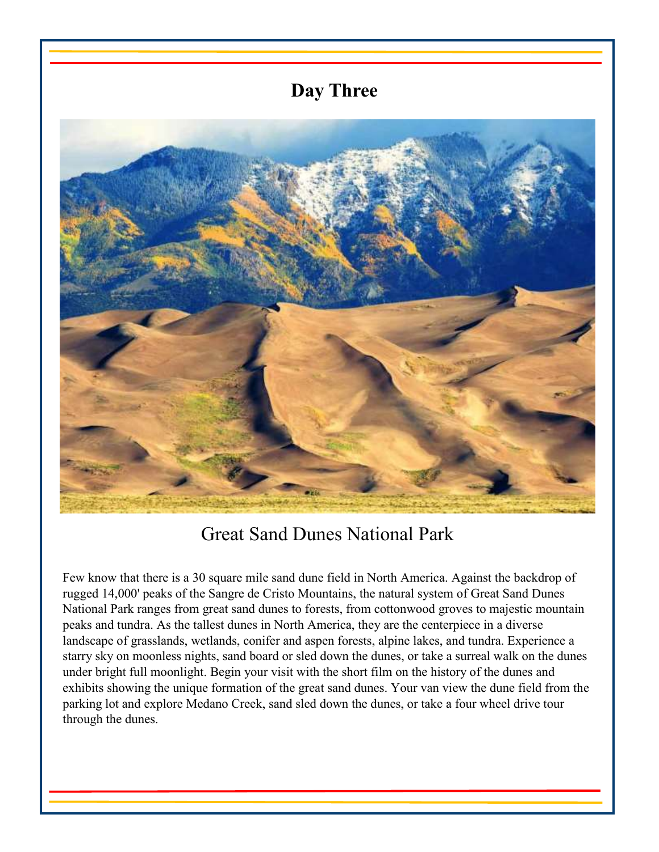## **Day Three**



## Great Sand Dunes National Park

Few know that there is a 30 square mile sand dune field in North America. Against the backdrop of rugged 14,000' peaks of the Sangre de Cristo Mountains, the natural system of Great Sand Dunes National Park ranges from great sand dunes to forests, from cottonwood groves to majestic mountain peaks and tundra. As the tallest dunes in North America, they are the centerpiece in a diverse landscape of grasslands, wetlands, conifer and aspen forests, alpine lakes, and tundra. Experience a starry sky on moonless nights, sand board or sled down the dunes, or take a surreal walk on the dunes under bright full moonlight. Begin your visit with the short film on the history of the dunes and exhibits showing the unique formation of the great sand dunes. Your van view the dune field from the parking lot and explore Medano Creek, sand sled down the dunes, or take a four wheel drive tour through the dunes.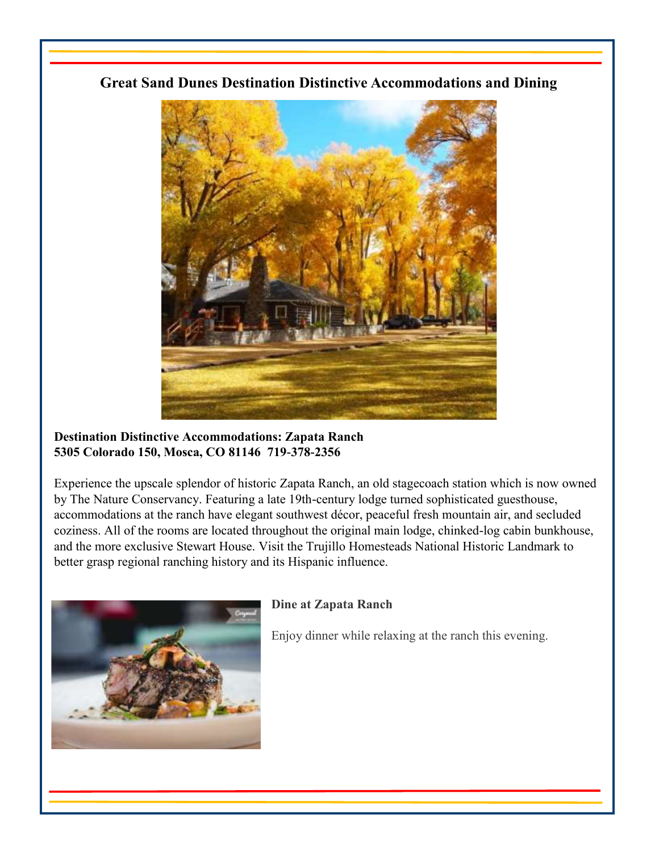## **Great Sand Dunes Destination Distinctive Accommodations and Dining**



### **Destination Distinctive Accommodations: Zapata Ranch 5305 Colorado 150, Mosca, CO 81146 719-378-2356**

Experience the upscale splendor of historic Zapata Ranch, an old stagecoach station which is now owned by The Nature Conservancy. Featuring a late 19th-century lodge turned sophisticated guesthouse, accommodations at the ranch have elegant southwest décor, peaceful fresh mountain air, and secluded coziness. All of the rooms are located throughout the original main lodge, chinked-log cabin bunkhouse, and the more exclusive Stewart House. Visit the Trujillo Homesteads National Historic Landmark to better grasp regional ranching history and its Hispanic influence.



## **Dine at Zapata Ranch**

Enjoy dinner while relaxing at the ranch this evening.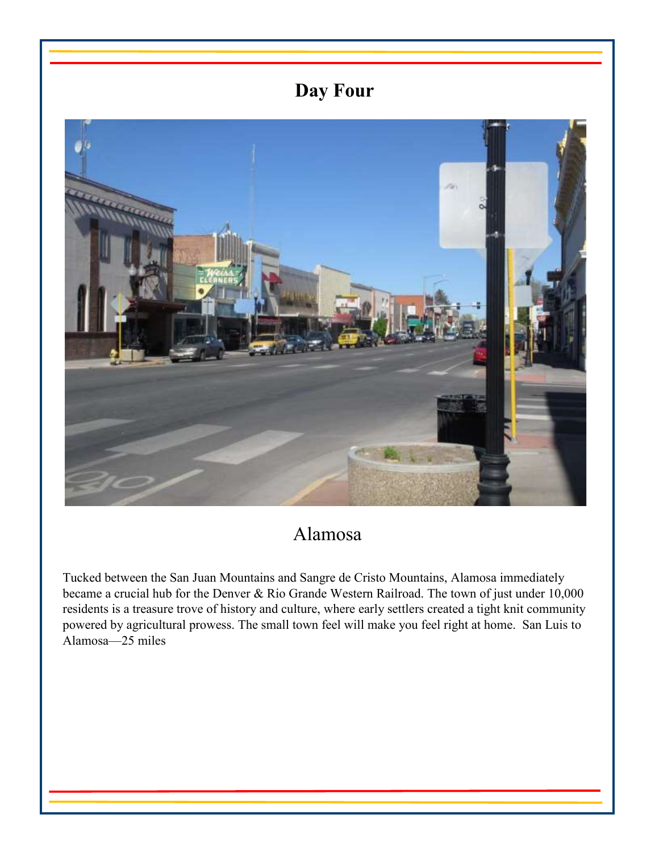# **Day Four**



# Alamosa

Tucked between the San Juan Mountains and Sangre de Cristo Mountains, Alamosa immediately became a crucial hub for the Denver & Rio Grande Western Railroad. The town of just under 10,000 residents is a treasure trove of history and culture, where early settlers created a tight knit community powered by agricultural prowess. The small town feel will make you feel right at home. San Luis to Alamosa—25 miles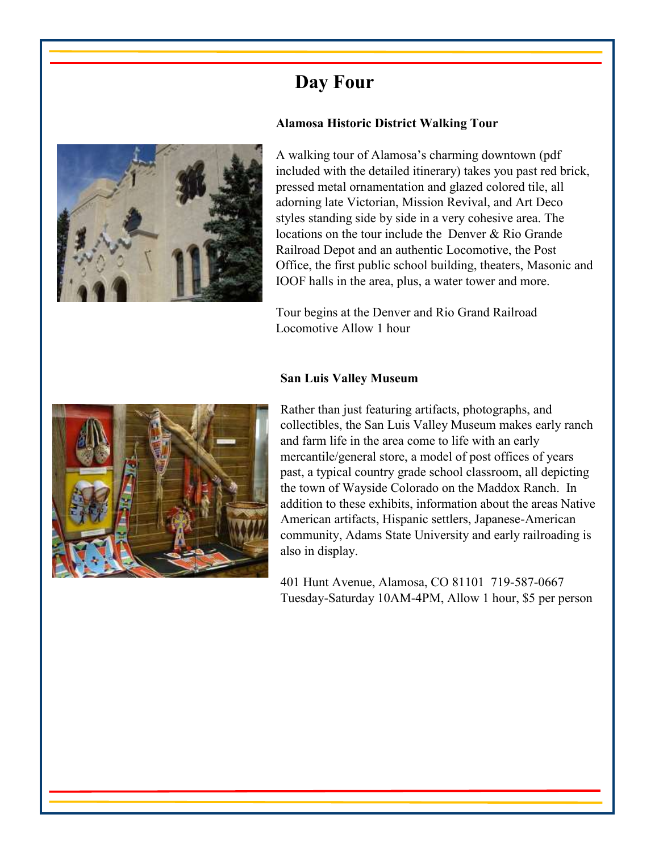# **Day Four**



### **Alamosa Historic District Walking Tour**

A walking tour of Alamosa's charming downtown (pdf included with the detailed itinerary) takes you past red brick, pressed metal ornamentation and glazed colored tile, all adorning late Victorian, Mission Revival, and Art Deco styles standing side by side in a very cohesive area. The locations on the tour include the Denver & Rio Grande Railroad Depot and an authentic Locomotive, the Post Office, the first public school building, theaters, Masonic and IOOF halls in the area, plus, a water tower and more.

Tour begins at the Denver and Rio Grand Railroad Locomotive Allow 1 hour

#### **San Luis Valley Museum**



Rather than just featuring artifacts, photographs, and collectibles, the San Luis Valley Museum makes early ranch and farm life in the area come to life with an early mercantile/general store, a model of post offices of years past, a typical country grade school classroom, all depicting the town of Wayside Colorado on the Maddox Ranch. In addition to these exhibits, information about the areas Native American artifacts, Hispanic settlers, Japanese-American community, Adams State University and early railroading is also in display.

401 Hunt Avenue, Alamosa, CO 81101 719-587-0667 Tuesday-Saturday 10AM-4PM, Allow 1 hour, \$5 per person